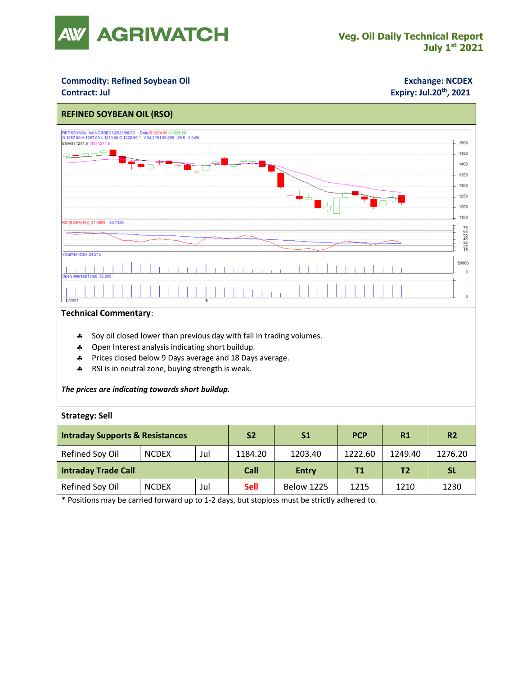

## **Commodity: Refined Soybean Oil <b>Exchange: NCDEX**

## **Contract: Jul Expiry: Jul.20<sup>th</sup>, 2021**



#### **Technical Commentary**:

- Soy oil closed lower than previous day with fall in trading volumes.
- \* Open Interest analysis indicating short buildup.
- Prices closed below 9 Days average and 18 Days average.
- \* RSI is in neutral zone, buying strength is weak.

### *The prices are indicating towards short buildup.*

### **Strategy: Sell**

| <b>Intraday Supports &amp; Resistances</b> |              |     | S <sub>2</sub> | S1                | <b>PCP</b> | R1      | <b>R2</b> |
|--------------------------------------------|--------------|-----|----------------|-------------------|------------|---------|-----------|
| Refined Soy Oil                            | <b>NCDEX</b> | Jul | 1184.20        | 1203.40           | 1222.60    | 1249.40 | 1276.20   |
| <b>Intraday Trade Call</b>                 |              |     | Call           | <b>Entry</b>      | Τ1         | Τ2      | <b>SL</b> |
| Refined Soy Oil                            | <b>NCDEX</b> | Jul | <b>Sell</b>    | <b>Below 1225</b> | 1215       | 1210    | 1230      |

\* Positions may be carried forward up to 1-2 days, but stoploss must be strictly adhered to.